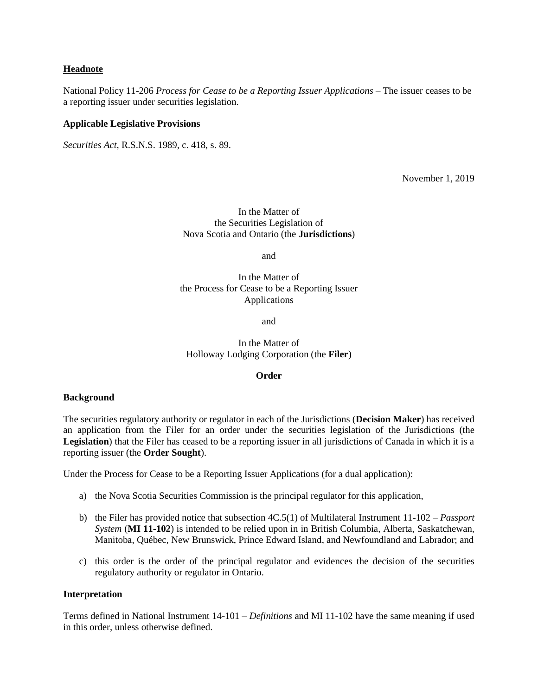## **Headnote**

National Policy 11-206 *Process for Cease to be a Reporting Issuer Applications* – The issuer ceases to be a reporting issuer under securities legislation.

### **Applicable Legislative Provisions**

*Securities Act*, R.S.N.S. 1989, c. 418, s. 89.

November 1, 2019

In the Matter of the Securities Legislation of Nova Scotia and Ontario (the **Jurisdictions**)

and

In the Matter of the Process for Cease to be a Reporting Issuer Applications

and

In the Matter of Holloway Lodging Corporation (the **Filer**)

#### **Order**

#### **Background**

The securities regulatory authority or regulator in each of the Jurisdictions (**Decision Maker**) has received an application from the Filer for an order under the securities legislation of the Jurisdictions (the **Legislation**) that the Filer has ceased to be a reporting issuer in all jurisdictions of Canada in which it is a reporting issuer (the **Order Sought**).

Under the Process for Cease to be a Reporting Issuer Applications (for a dual application):

- a) the Nova Scotia Securities Commission is the principal regulator for this application,
- b) the Filer has provided notice that subsection 4C.5(1) of Multilateral Instrument 11-102 *Passport System* (**MI 11-102**) is intended to be relied upon in in British Columbia, Alberta, Saskatchewan, Manitoba, Québec, New Brunswick, Prince Edward Island, and Newfoundland and Labrador; and
- c) this order is the order of the principal regulator and evidences the decision of the securities regulatory authority or regulator in Ontario.

### **Interpretation**

Terms defined in National Instrument 14-101 – *Definitions* and MI 11-102 have the same meaning if used in this order, unless otherwise defined.